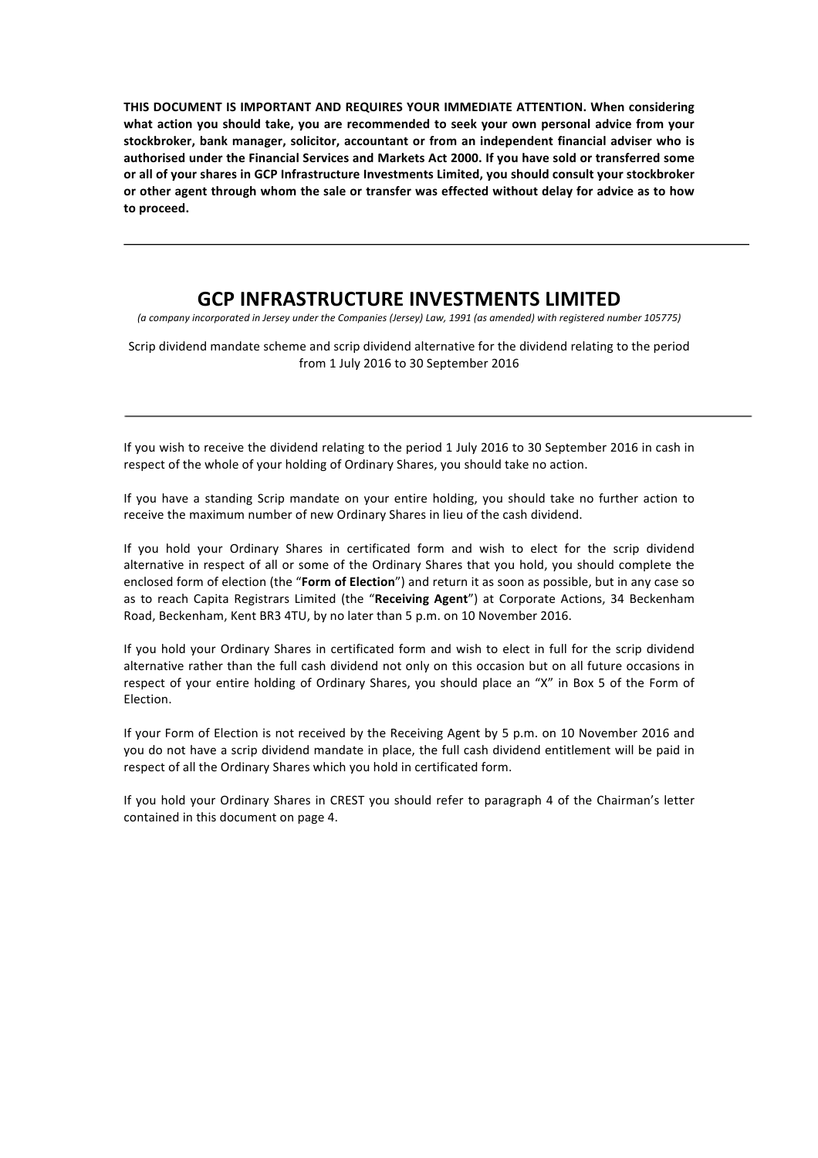THIS DOCUMENT IS IMPORTANT AND REQUIRES YOUR IMMEDIATE ATTENTION. When considering what action you should take, you are recommended to seek your own personal advice from your stockbroker, bank manager, solicitor, accountant or from an independent financial adviser who is authorised under the Financial Services and Markets Act 2000. If you have sold or transferred some or all of your shares in GCP Infrastructure Investments Limited, you should consult your stockbroker or other agent through whom the sale or transfer was effected without delay for advice as to how to proceed.

# **GCP INFRASTRUCTURE INVESTMENTS LIMITED**

(a company incorporated in Jersey under the Companies (Jersey) Law, 1991 (as amended) with registered number 105775)

Scrip dividend mandate scheme and scrip dividend alternative for the dividend relating to the period from 1 July 2016 to 30 September 2016

If you wish to receive the dividend relating to the period 1 July 2016 to 30 September 2016 in cash in respect of the whole of your holding of Ordinary Shares, you should take no action.

If you have a standing Scrip mandate on your entire holding, you should take no further action to receive the maximum number of new Ordinary Shares in lieu of the cash dividend.

If you hold your Ordinary Shares in certificated form and wish to elect for the scrip dividend alternative in respect of all or some of the Ordinary Shares that you hold, you should complete the enclosed form of election (the "**Form of Election**") and return it as soon as possible, but in any case so as to reach Capita Registrars Limited (the "Receiving Agent") at Corporate Actions, 34 Beckenham Road, Beckenham, Kent BR3 4TU, by no later than 5 p.m. on 10 November 2016.

If you hold your Ordinary Shares in certificated form and wish to elect in full for the scrip dividend alternative rather than the full cash dividend not only on this occasion but on all future occasions in respect of your entire holding of Ordinary Shares, you should place an "X" in Box 5 of the Form of Election.

If your Form of Election is not received by the Receiving Agent by 5 p.m. on 10 November 2016 and you do not have a scrip dividend mandate in place, the full cash dividend entitlement will be paid in respect of all the Ordinary Shares which you hold in certificated form.

If you hold your Ordinary Shares in CREST you should refer to paragraph 4 of the Chairman's letter contained in this document on page 4.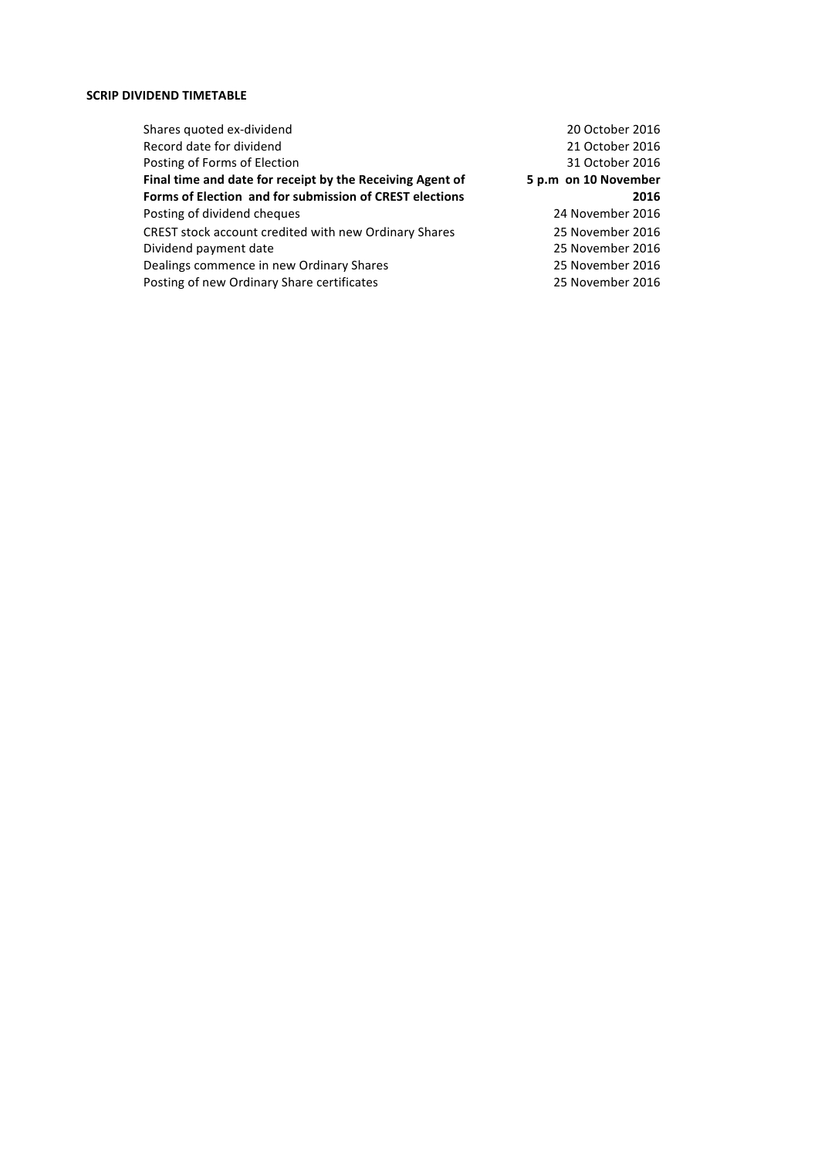# **SCRIP DIVIDEND TIMETABLE**

| Shares quoted ex-dividend                                 | 20 October 2016      |
|-----------------------------------------------------------|----------------------|
| Record date for dividend                                  | 21 October 2016      |
| Posting of Forms of Election                              | 31 October 2016      |
| Final time and date for receipt by the Receiving Agent of | 5 p.m on 10 November |
| Forms of Election and for submission of CREST elections   | 2016                 |
| Posting of dividend cheques                               | 24 November 2016     |
| CREST stock account credited with new Ordinary Shares     | 25 November 2016     |
| Dividend payment date                                     | 25 November 2016     |
| Dealings commence in new Ordinary Shares                  | 25 November 2016     |
| Posting of new Ordinary Share certificates                | 25 November 2016     |
|                                                           |                      |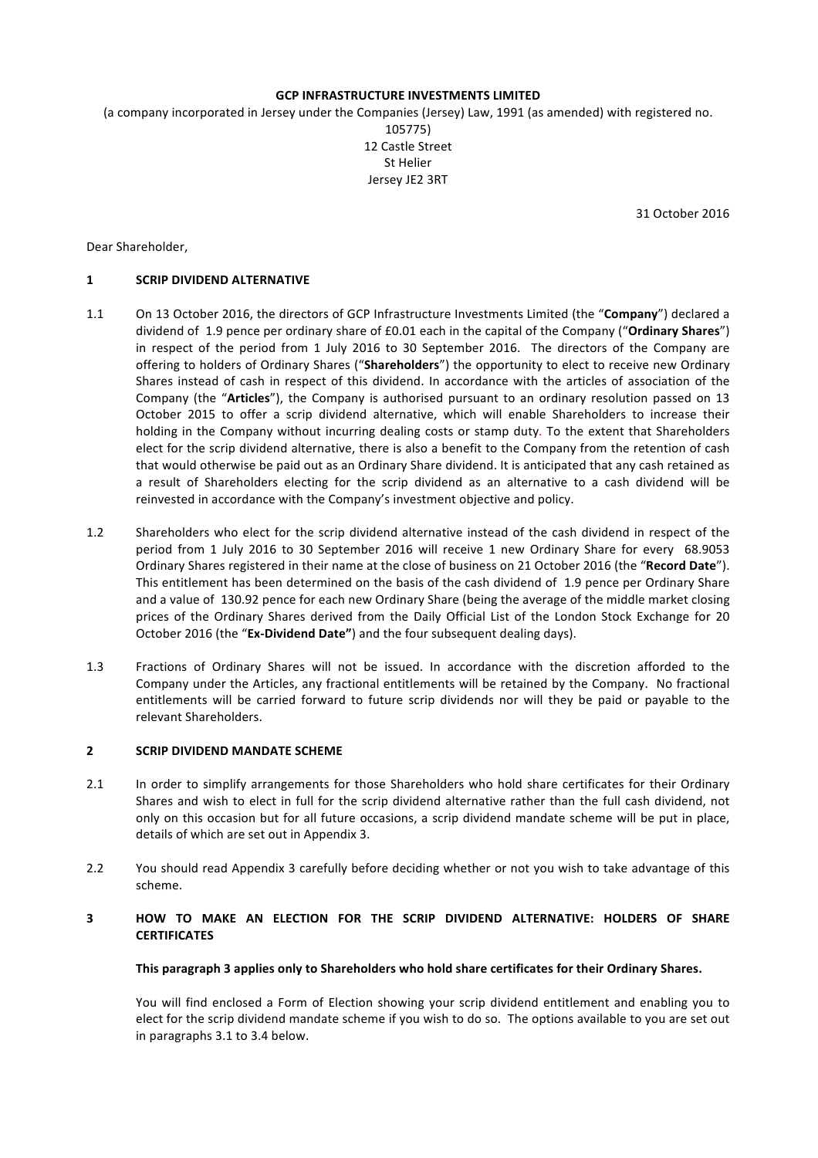#### **GCP INFRASTRUCTURE INVESTMENTS LIMITED**

(a company incorporated in Jersey under the Companies (Jersey) Law, 1991 (as amended) with registered no.

105775) 12 Castle Street St Helier Jersey JE2 3RT

31 October 2016

Dear Shareholder,

# **1 SCRIP DIVIDEND ALTERNATIVE**

- 1.1 On 13 October 2016, the directors of GCP Infrastructure Investments Limited (the "Company") declared a dividend of 1.9 pence per ordinary share of £0.01 each in the capital of the Company ("Ordinary Shares") in respect of the period from 1 July 2016 to 30 September 2016. The directors of the Company are offering to holders of Ordinary Shares ("Shareholders") the opportunity to elect to receive new Ordinary Shares instead of cash in respect of this dividend. In accordance with the articles of association of the Company (the "Articles"), the Company is authorised pursuant to an ordinary resolution passed on 13 October 2015 to offer a scrip dividend alternative, which will enable Shareholders to increase their holding in the Company without incurring dealing costs or stamp duty. To the extent that Shareholders elect for the scrip dividend alternative, there is also a benefit to the Company from the retention of cash that would otherwise be paid out as an Ordinary Share dividend. It is anticipated that any cash retained as a result of Shareholders electing for the scrip dividend as an alternative to a cash dividend will be reinvested in accordance with the Company's investment objective and policy.
- 1.2 Shareholders who elect for the scrip dividend alternative instead of the cash dividend in respect of the period from 1 July 2016 to 30 September 2016 will receive 1 new Ordinary Share for every 68.9053 Ordinary Shares registered in their name at the close of business on 21 October 2016 (the "Record Date"). This entitlement has been determined on the basis of the cash dividend of 1.9 pence per Ordinary Share and a value of 130.92 pence for each new Ordinary Share (being the average of the middle market closing prices of the Ordinary Shares derived from the Daily Official List of the London Stock Exchange for 20 October 2016 (the "Ex-Dividend Date") and the four subsequent dealing days).
- 1.3 Fractions of Ordinary Shares will not be issued. In accordance with the discretion afforded to the Company under the Articles, any fractional entitlements will be retained by the Company. No fractional entitlements will be carried forward to future scrip dividends nor will they be paid or payable to the relevant Shareholders.

#### **2 SCRIP DIVIDEND MANDATE SCHEME**

- 2.1 In order to simplify arrangements for those Shareholders who hold share certificates for their Ordinary Shares and wish to elect in full for the scrip dividend alternative rather than the full cash dividend, not only on this occasion but for all future occasions, a scrip dividend mandate scheme will be put in place, details of which are set out in Appendix 3.
- 2.2 You should read Appendix 3 carefully before deciding whether or not you wish to take advantage of this scheme.

# **3 HOW TO MAKE AN ELECTION FOR THE SCRIP DIVIDEND ALTERNATIVE: HOLDERS OF SHARE CERTIFICATES**

#### This paragraph 3 applies only to Shareholders who hold share certificates for their Ordinary Shares.

You will find enclosed a Form of Election showing your scrip dividend entitlement and enabling you to elect for the scrip dividend mandate scheme if you wish to do so. The options available to you are set out in paragraphs 3.1 to 3.4 below.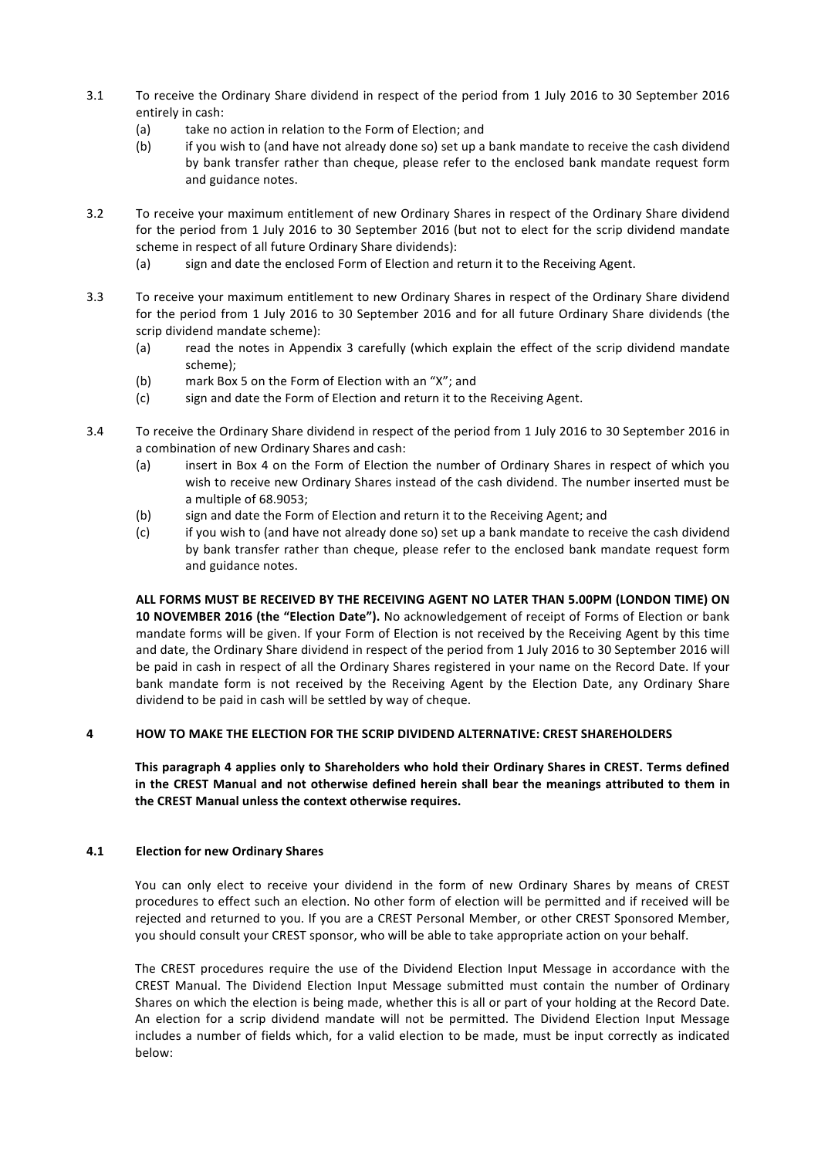- 3.1 To receive the Ordinary Share dividend in respect of the period from 1 July 2016 to 30 September 2016 entirely in cash:
	- (a) take no action in relation to the Form of Election; and
	- (b) if you wish to (and have not already done so) set up a bank mandate to receive the cash dividend by bank transfer rather than cheque, please refer to the enclosed bank mandate request form and guidance notes.
- 3.2 To receive your maximum entitlement of new Ordinary Shares in respect of the Ordinary Share dividend for the period from 1 July 2016 to 30 September 2016 (but not to elect for the scrip dividend mandate scheme in respect of all future Ordinary Share dividends):
	- (a) sign and date the enclosed Form of Election and return it to the Receiving Agent.
- 3.3 To receive your maximum entitlement to new Ordinary Shares in respect of the Ordinary Share dividend for the period from 1 July 2016 to 30 September 2016 and for all future Ordinary Share dividends (the scrip dividend mandate scheme):
	- (a) read the notes in Appendix 3 carefully (which explain the effect of the scrip dividend mandate scheme);
	- (b) mark Box 5 on the Form of Election with an "X"; and
	- (c) sign and date the Form of Election and return it to the Receiving Agent.
- 3.4 To receive the Ordinary Share dividend in respect of the period from 1 July 2016 to 30 September 2016 in a combination of new Ordinary Shares and cash:
	- (a) insert in Box 4 on the Form of Election the number of Ordinary Shares in respect of which you wish to receive new Ordinary Shares instead of the cash dividend. The number inserted must be a multiple of 68.9053;
	- (b) sign and date the Form of Election and return it to the Receiving Agent; and
	- (c) if you wish to (and have not already done so) set up a bank mandate to receive the cash dividend by bank transfer rather than cheque, please refer to the enclosed bank mandate request form and guidance notes.

ALL FORMS MUST BE RECEIVED BY THE RECEIVING AGENT NO LATER THAN 5.00PM (LONDON TIME) ON **10 NOVEMBER 2016 (the "Election Date").** No acknowledgement of receipt of Forms of Election or bank mandate forms will be given. If your Form of Election is not received by the Receiving Agent by this time and date, the Ordinary Share dividend in respect of the period from 1 July 2016 to 30 September 2016 will be paid in cash in respect of all the Ordinary Shares registered in your name on the Record Date. If your bank mandate form is not received by the Receiving Agent by the Election Date, any Ordinary Share dividend to be paid in cash will be settled by way of cheque.

# **4 HOW TO MAKE THE ELECTION FOR THE SCRIP DIVIDEND ALTERNATIVE: CREST SHAREHOLDERS**

This paragraph 4 applies only to Shareholders who hold their Ordinary Shares in CREST. Terms defined in the CREST Manual and not otherwise defined herein shall bear the meanings attributed to them in the CREST Manual unless the context otherwise requires.

# **4.1 Election for new Ordinary Shares**

You can only elect to receive your dividend in the form of new Ordinary Shares by means of CREST procedures to effect such an election. No other form of election will be permitted and if received will be rejected and returned to you. If you are a CREST Personal Member, or other CREST Sponsored Member, you should consult your CREST sponsor, who will be able to take appropriate action on your behalf.

The CREST procedures require the use of the Dividend Election Input Message in accordance with the CREST Manual. The Dividend Election Input Message submitted must contain the number of Ordinary Shares on which the election is being made, whether this is all or part of your holding at the Record Date. An election for a scrip dividend mandate will not be permitted. The Dividend Election Input Message includes a number of fields which, for a valid election to be made, must be input correctly as indicated below: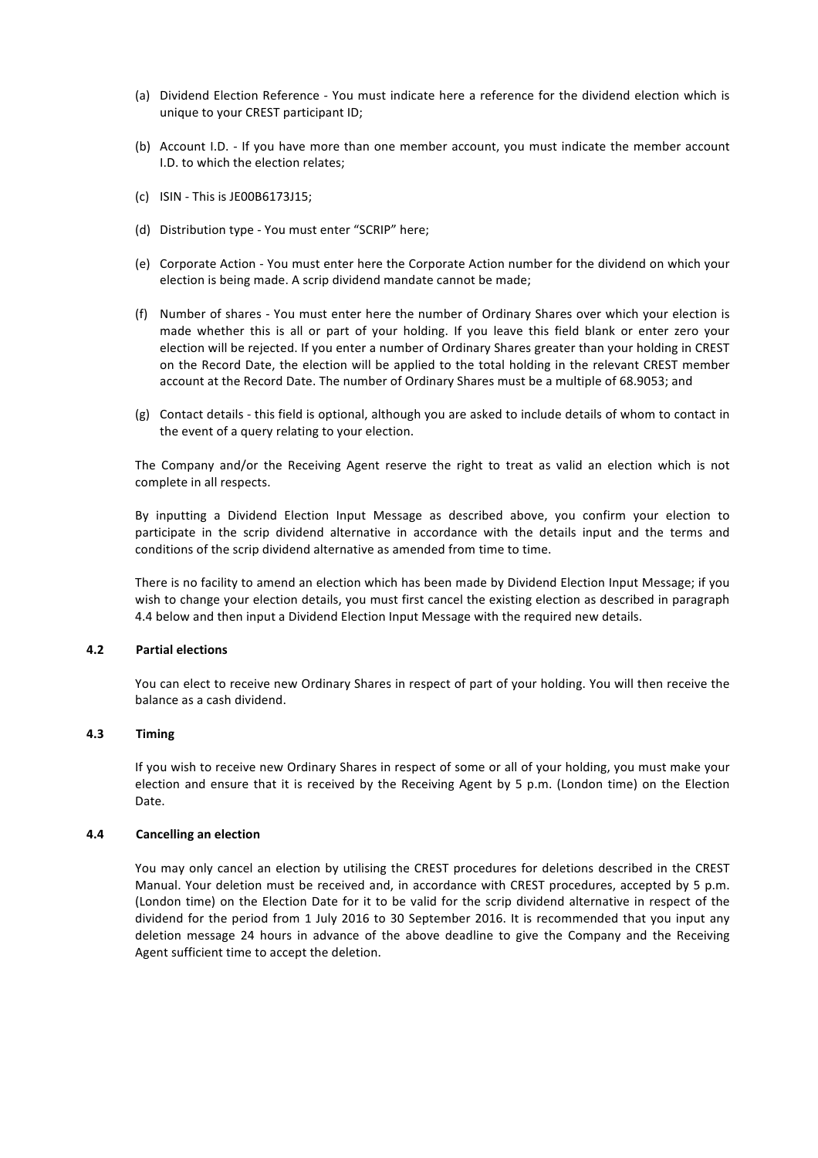- (a) Dividend Election Reference You must indicate here a reference for the dividend election which is unique to your CREST participant ID;
- (b) Account I.D. If you have more than one member account, you must indicate the member account I.D. to which the election relates:
- $(c)$  ISIN This is JE00B6173J15;
- (d) Distribution type You must enter "SCRIP" here;
- (e) Corporate Action You must enter here the Corporate Action number for the dividend on which your election is being made. A scrip dividend mandate cannot be made;
- (f) Number of shares You must enter here the number of Ordinary Shares over which your election is made whether this is all or part of your holding. If you leave this field blank or enter zero your election will be rejected. If you enter a number of Ordinary Shares greater than your holding in CREST on the Record Date, the election will be applied to the total holding in the relevant CREST member account at the Record Date. The number of Ordinary Shares must be a multiple of 68.9053; and
- (g) Contact details this field is optional, although you are asked to include details of whom to contact in the event of a query relating to your election.

The Company and/or the Receiving Agent reserve the right to treat as valid an election which is not complete in all respects.

By inputting a Dividend Election Input Message as described above, you confirm your election to participate in the scrip dividend alternative in accordance with the details input and the terms and conditions of the scrip dividend alternative as amended from time to time.

There is no facility to amend an election which has been made by Dividend Election Input Message; if you wish to change your election details, you must first cancel the existing election as described in paragraph 4.4 below and then input a Dividend Election Input Message with the required new details.

# **4.2 Partial elections**

You can elect to receive new Ordinary Shares in respect of part of your holding. You will then receive the balance as a cash dividend. 

# **4.3 Timing**

If you wish to receive new Ordinary Shares in respect of some or all of your holding, you must make your election and ensure that it is received by the Receiving Agent by 5 p.m. (London time) on the Election Date. 

# **4.4 Cancelling an election**

You may only cancel an election by utilising the CREST procedures for deletions described in the CREST Manual. Your deletion must be received and, in accordance with CREST procedures, accepted by 5 p.m. (London time) on the Election Date for it to be valid for the scrip dividend alternative in respect of the dividend for the period from 1 July 2016 to 30 September 2016. It is recommended that you input any deletion message 24 hours in advance of the above deadline to give the Company and the Receiving Agent sufficient time to accept the deletion.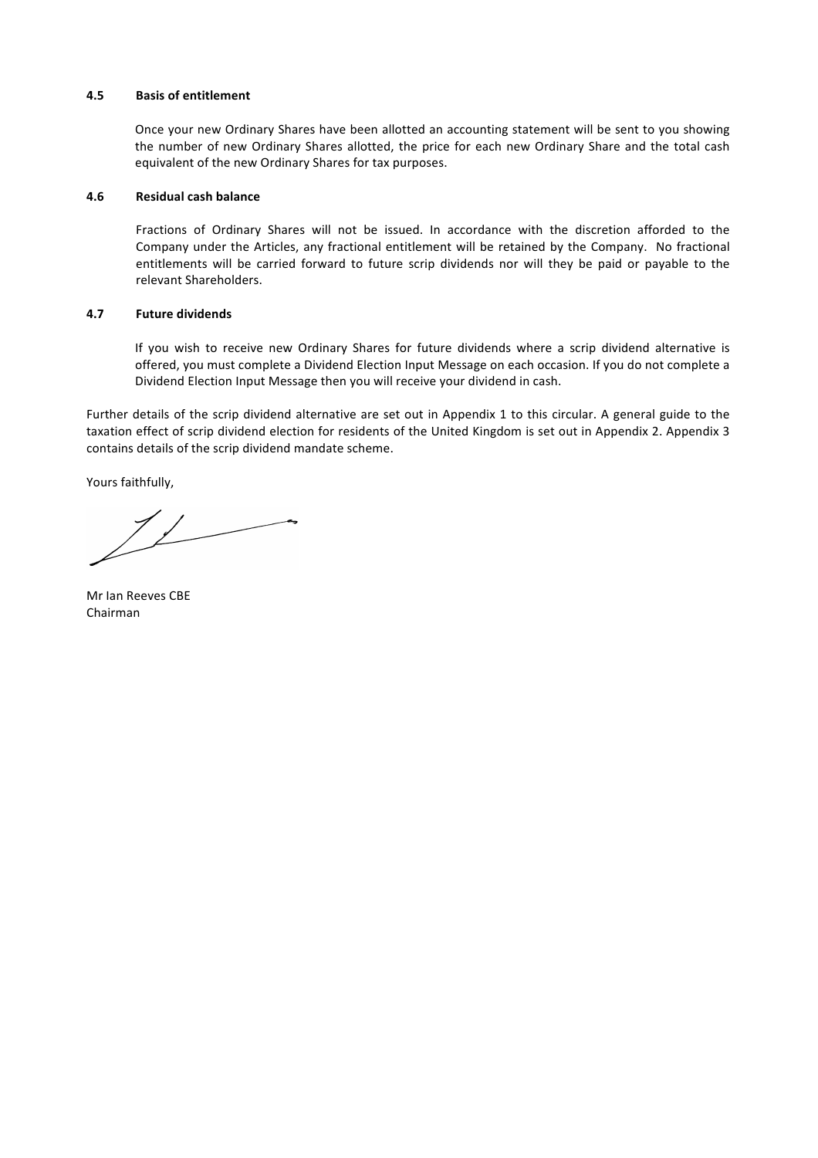#### **4.5 Basis of entitlement**

Once your new Ordinary Shares have been allotted an accounting statement will be sent to you showing the number of new Ordinary Shares allotted, the price for each new Ordinary Share and the total cash equivalent of the new Ordinary Shares for tax purposes.

#### **4.6 Residual cash balance**

Fractions of Ordinary Shares will not be issued. In accordance with the discretion afforded to the Company under the Articles, any fractional entitlement will be retained by the Company. No fractional entitlements will be carried forward to future scrip dividends nor will they be paid or payable to the relevant Shareholders.

#### **4.7 Future dividends**

If you wish to receive new Ordinary Shares for future dividends where a scrip dividend alternative is offered, you must complete a Dividend Election Input Message on each occasion. If you do not complete a Dividend Election Input Message then you will receive your dividend in cash.

Further details of the scrip dividend alternative are set out in Appendix 1 to this circular. A general guide to the taxation effect of scrip dividend election for residents of the United Kingdom is set out in Appendix 2. Appendix 3 contains details of the scrip dividend mandate scheme.

Yours faithfully,

Mr Ian Reeves CBE Chairman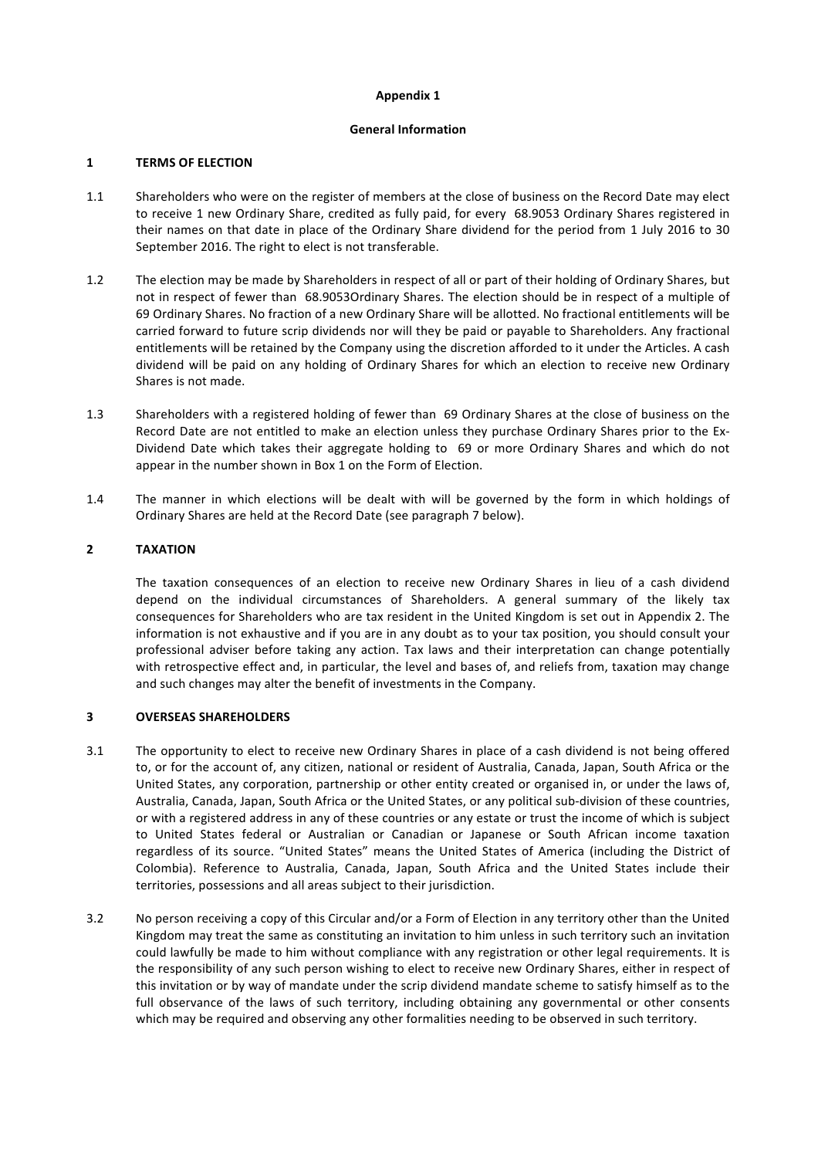#### **Appendix 1**

#### **General Information**

# **1 TERMS OF ELECTION**

- 1.1 Shareholders who were on the register of members at the close of business on the Record Date may elect to receive 1 new Ordinary Share, credited as fully paid, for every 68.9053 Ordinary Shares registered in their names on that date in place of the Ordinary Share dividend for the period from 1 July 2016 to 30 September 2016. The right to elect is not transferable.
- 1.2 The election may be made by Shareholders in respect of all or part of their holding of Ordinary Shares, but not in respect of fewer than 68.9053Ordinary Shares. The election should be in respect of a multiple of 69 Ordinary Shares. No fraction of a new Ordinary Share will be allotted. No fractional entitlements will be carried forward to future scrip dividends nor will they be paid or payable to Shareholders. Any fractional entitlements will be retained by the Company using the discretion afforded to it under the Articles. A cash dividend will be paid on any holding of Ordinary Shares for which an election to receive new Ordinary Shares is not made.
- 1.3 Shareholders with a registered holding of fewer than 69 Ordinary Shares at the close of business on the Record Date are not entitled to make an election unless they purchase Ordinary Shares prior to the Ex-Dividend Date which takes their aggregate holding to 69 or more Ordinary Shares and which do not appear in the number shown in Box 1 on the Form of Election.
- 1.4 The manner in which elections will be dealt with will be governed by the form in which holdings of Ordinary Shares are held at the Record Date (see paragraph 7 below).

# **2 TAXATION**

The taxation consequences of an election to receive new Ordinary Shares in lieu of a cash dividend depend on the individual circumstances of Shareholders. A general summary of the likely tax consequences for Shareholders who are tax resident in the United Kingdom is set out in Appendix 2. The information is not exhaustive and if you are in any doubt as to your tax position, you should consult your professional adviser before taking any action. Tax laws and their interpretation can change potentially with retrospective effect and, in particular, the level and bases of, and reliefs from, taxation may change and such changes may alter the benefit of investments in the Company.

# **3 OVERSEAS SHAREHOLDERS**

- 3.1 The opportunity to elect to receive new Ordinary Shares in place of a cash dividend is not being offered to, or for the account of, any citizen, national or resident of Australia, Canada, Japan, South Africa or the United States, any corporation, partnership or other entity created or organised in, or under the laws of, Australia, Canada, Japan, South Africa or the United States, or any political sub-division of these countries, or with a registered address in any of these countries or any estate or trust the income of which is subject to United States federal or Australian or Canadian or Japanese or South African income taxation regardless of its source. "United States" means the United States of America (including the District of Colombia). Reference to Australia, Canada, Japan, South Africa and the United States include their territories, possessions and all areas subject to their jurisdiction.
- 3.2 No person receiving a copy of this Circular and/or a Form of Election in any territory other than the United Kingdom may treat the same as constituting an invitation to him unless in such territory such an invitation could lawfully be made to him without compliance with any registration or other legal requirements. It is the responsibility of any such person wishing to elect to receive new Ordinary Shares, either in respect of this invitation or by way of mandate under the scrip dividend mandate scheme to satisfy himself as to the full observance of the laws of such territory, including obtaining any governmental or other consents which may be required and observing any other formalities needing to be observed in such territory.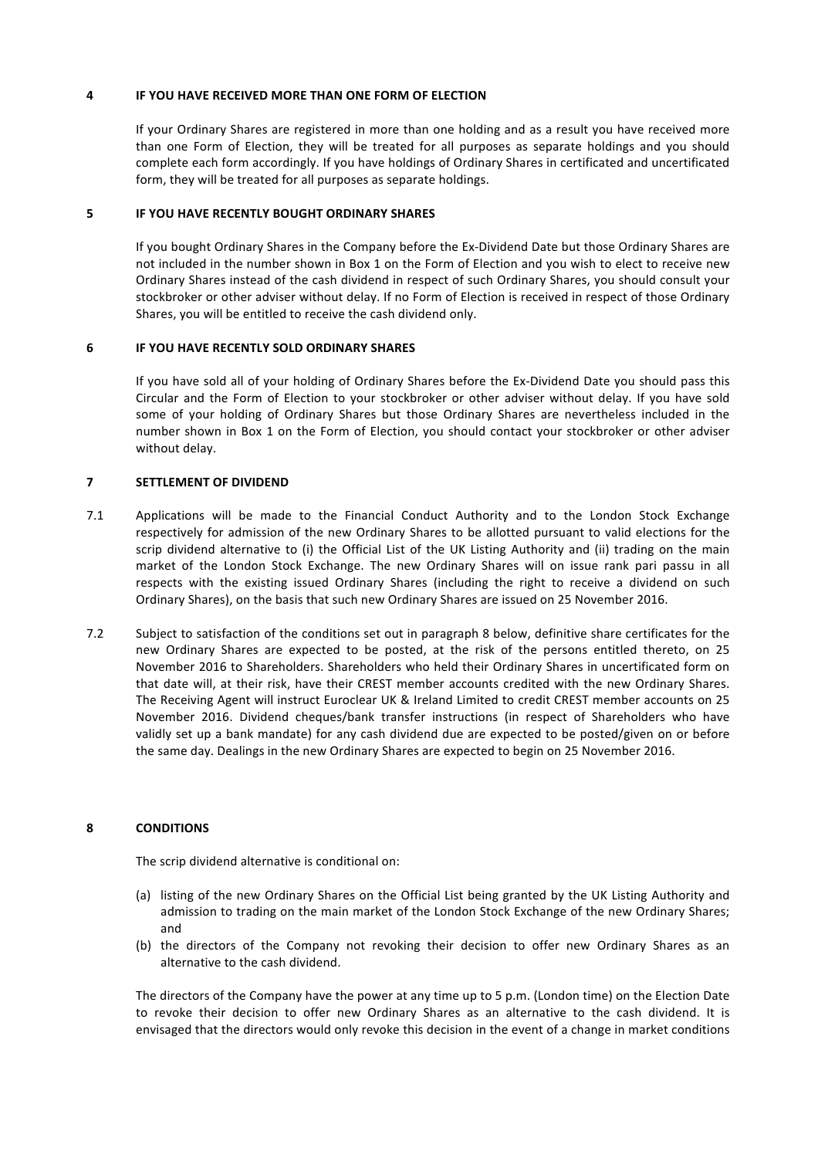#### **4 IF YOU HAVE RECEIVED MORE THAN ONE FORM OF ELECTION**

If your Ordinary Shares are registered in more than one holding and as a result you have received more than one Form of Election, they will be treated for all purposes as separate holdings and you should complete each form accordingly. If you have holdings of Ordinary Shares in certificated and uncertificated form, they will be treated for all purposes as separate holdings.

#### **5** IF YOU HAVE RECENTLY BOUGHT ORDINARY SHARES

If you bought Ordinary Shares in the Company before the Ex-Dividend Date but those Ordinary Shares are not included in the number shown in Box 1 on the Form of Election and you wish to elect to receive new Ordinary Shares instead of the cash dividend in respect of such Ordinary Shares, you should consult your stockbroker or other adviser without delay. If no Form of Election is received in respect of those Ordinary Shares, you will be entitled to receive the cash dividend only.

#### **6 IF YOU HAVE RECENTLY SOLD ORDINARY SHARES**

If you have sold all of your holding of Ordinary Shares before the Ex-Dividend Date you should pass this Circular and the Form of Election to your stockbroker or other adviser without delay. If you have sold some of your holding of Ordinary Shares but those Ordinary Shares are nevertheless included in the number shown in Box 1 on the Form of Election, you should contact your stockbroker or other adviser without delay.

# **7 SETTLEMENT OF DIVIDEND**

- 7.1 Applications will be made to the Financial Conduct Authority and to the London Stock Exchange respectively for admission of the new Ordinary Shares to be allotted pursuant to valid elections for the scrip dividend alternative to (i) the Official List of the UK Listing Authority and (ii) trading on the main market of the London Stock Exchange. The new Ordinary Shares will on issue rank pari passu in all respects with the existing issued Ordinary Shares (including the right to receive a dividend on such Ordinary Shares), on the basis that such new Ordinary Shares are issued on 25 November 2016.
- 7.2 Subject to satisfaction of the conditions set out in paragraph 8 below, definitive share certificates for the new Ordinary Shares are expected to be posted, at the risk of the persons entitled thereto, on 25 November 2016 to Shareholders. Shareholders who held their Ordinary Shares in uncertificated form on that date will, at their risk, have their CREST member accounts credited with the new Ordinary Shares. The Receiving Agent will instruct Euroclear UK & Ireland Limited to credit CREST member accounts on 25 November 2016. Dividend cheques/bank transfer instructions (in respect of Shareholders who have validly set up a bank mandate) for any cash dividend due are expected to be posted/given on or before the same day. Dealings in the new Ordinary Shares are expected to begin on 25 November 2016.

# **8 CONDITIONS**

The scrip dividend alternative is conditional on:

- (a) listing of the new Ordinary Shares on the Official List being granted by the UK Listing Authority and admission to trading on the main market of the London Stock Exchange of the new Ordinary Shares; and
- (b) the directors of the Company not revoking their decision to offer new Ordinary Shares as an alternative to the cash dividend.

The directors of the Company have the power at any time up to 5 p.m. (London time) on the Election Date to revoke their decision to offer new Ordinary Shares as an alternative to the cash dividend. It is envisaged that the directors would only revoke this decision in the event of a change in market conditions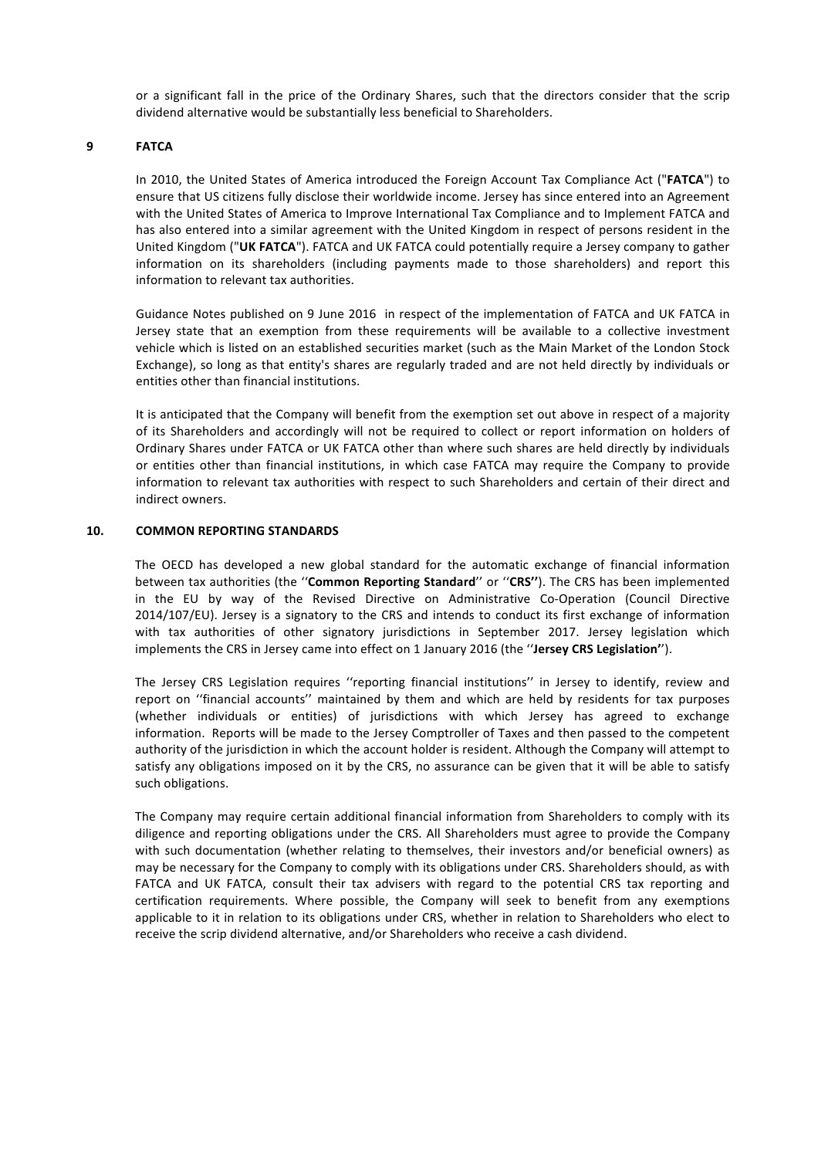or a significant fall in the price of the Ordinary Shares, such that the directors consider that the scrip dividend alternative would be substantially less beneficial to Shareholders.

# **9 FATCA**

In 2010, the United States of America introduced the Foreign Account Tax Compliance Act ("FATCA") to ensure that US citizens fully disclose their worldwide income. Jersey has since entered into an Agreement with the United States of America to Improve International Tax Compliance and to Implement FATCA and has also entered into a similar agreement with the United Kingdom in respect of persons resident in the United Kingdom ("UK FATCA"). FATCA and UK FATCA could potentially require a Jersey company to gather information on its shareholders (including payments made to those shareholders) and report this information to relevant tax authorities.

Guidance Notes published on 9 June 2016 in respect of the implementation of FATCA and UK FATCA in Jersey state that an exemption from these requirements will be available to a collective investment vehicle which is listed on an established securities market (such as the Main Market of the London Stock Exchange), so long as that entity's shares are regularly traded and are not held directly by individuals or entities other than financial institutions.

It is anticipated that the Company will benefit from the exemption set out above in respect of a majority of its Shareholders and accordingly will not be required to collect or report information on holders of Ordinary Shares under FATCA or UK FATCA other than where such shares are held directly by individuals or entities other than financial institutions, in which case FATCA may require the Company to provide information to relevant tax authorities with respect to such Shareholders and certain of their direct and indirect owners.

# **10. COMMON REPORTING STANDARDS**

The OECD has developed a new global standard for the automatic exchange of financial information between tax authorities (the "Common Reporting Standard" or "CRS"). The CRS has been implemented in the EU by way of the Revised Directive on Administrative Co-Operation (Council Directive 2014/107/EU). Jersey is a signatory to the CRS and intends to conduct its first exchange of information with tax authorities of other signatory jurisdictions in September 2017. Jersey legislation which implements the CRS in Jersey came into effect on 1 January 2016 (the "Jersey CRS Legislation").

The Jersey CRS Legislation requires "reporting financial institutions" in Jersey to identify, review and report on "financial accounts" maintained by them and which are held by residents for tax purposes (whether individuals or entities) of jurisdictions with which Jersey has agreed to exchange information. Reports will be made to the Jersey Comptroller of Taxes and then passed to the competent authority of the jurisdiction in which the account holder is resident. Although the Company will attempt to satisfy any obligations imposed on it by the CRS, no assurance can be given that it will be able to satisfy such obligations.

The Company may require certain additional financial information from Shareholders to comply with its diligence and reporting obligations under the CRS. All Shareholders must agree to provide the Company with such documentation (whether relating to themselves, their investors and/or beneficial owners) as may be necessary for the Company to comply with its obligations under CRS. Shareholders should, as with FATCA and UK FATCA, consult their tax advisers with regard to the potential CRS tax reporting and certification requirements. Where possible, the Company will seek to benefit from any exemptions applicable to it in relation to its obligations under CRS, whether in relation to Shareholders who elect to receive the scrip dividend alternative, and/or Shareholders who receive a cash dividend.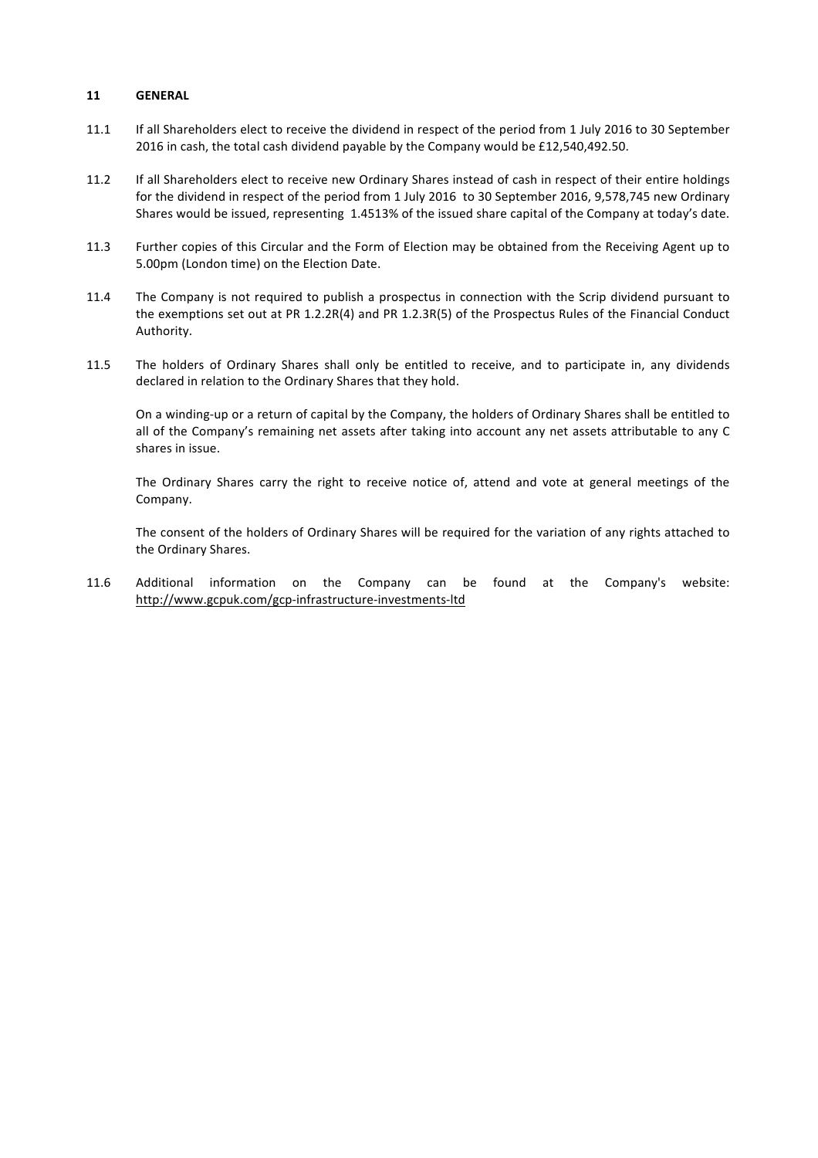#### **11 GENERAL**

- 11.1 If all Shareholders elect to receive the dividend in respect of the period from 1 July 2016 to 30 September 2016 in cash, the total cash dividend payable by the Company would be  $£12,540,492.50$ .
- 11.2 If all Shareholders elect to receive new Ordinary Shares instead of cash in respect of their entire holdings for the dividend in respect of the period from 1 July 2016 to 30 September 2016, 9,578,745 new Ordinary Shares would be issued, representing 1.4513% of the issued share capital of the Company at today's date.
- 11.3 Further copies of this Circular and the Form of Election may be obtained from the Receiving Agent up to 5.00pm (London time) on the Election Date.
- 11.4 The Company is not required to publish a prospectus in connection with the Scrip dividend pursuant to the exemptions set out at PR 1.2.2R(4) and PR 1.2.3R(5) of the Prospectus Rules of the Financial Conduct Authority.
- 11.5 The holders of Ordinary Shares shall only be entitled to receive, and to participate in, any dividends declared in relation to the Ordinary Shares that they hold.

On a winding-up or a return of capital by the Company, the holders of Ordinary Shares shall be entitled to all of the Company's remaining net assets after taking into account any net assets attributable to any C shares in issue.

The Ordinary Shares carry the right to receive notice of, attend and vote at general meetings of the Company.

The consent of the holders of Ordinary Shares will be required for the variation of any rights attached to the Ordinary Shares.

11.6 Additional information on the Company can be found at the Company's website: http://www.gcpuk.com/gcp-infrastructure-investments-ltd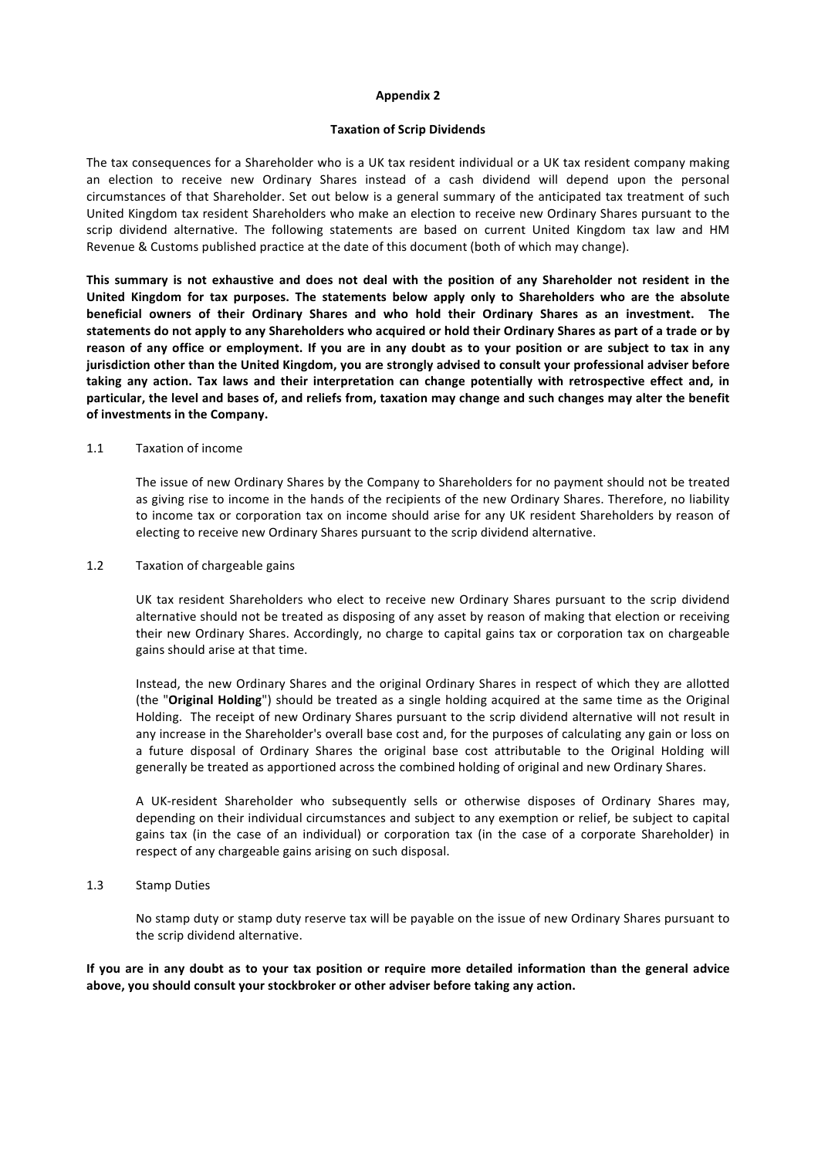#### **Appendix 2**

#### **Taxation of Scrip Dividends**

The tax consequences for a Shareholder who is a UK tax resident individual or a UK tax resident company making an election to receive new Ordinary Shares instead of a cash dividend will depend upon the personal circumstances of that Shareholder. Set out below is a general summary of the anticipated tax treatment of such United Kingdom tax resident Shareholders who make an election to receive new Ordinary Shares pursuant to the scrip dividend alternative. The following statements are based on current United Kingdom tax law and HM Revenue & Customs published practice at the date of this document (both of which may change).

This summary is not exhaustive and does not deal with the position of any Shareholder not resident in the United Kingdom for tax purposes. The statements below apply only to Shareholders who are the absolute **beneficial owners of their Ordinary Shares and who hold their Ordinary Shares as an investment. The**  statements do not apply to any Shareholders who acquired or hold their Ordinary Shares as part of a trade or by reason of any office or employment. If you are in any doubt as to your position or are subject to tax in any **jurisdiction other than the United Kingdom, you are strongly advised to consult your professional adviser before** taking any action. Tax laws and their interpretation can change potentially with retrospective effect and, in particular, the level and bases of, and reliefs from, taxation may change and such changes may alter the benefit of investments in the Company.

#### 1.1 Taxation of income

The issue of new Ordinary Shares by the Company to Shareholders for no payment should not be treated as giving rise to income in the hands of the recipients of the new Ordinary Shares. Therefore, no liability to income tax or corporation tax on income should arise for any UK resident Shareholders by reason of electing to receive new Ordinary Shares pursuant to the scrip dividend alternative.

#### 1.2 Taxation of chargeable gains

UK tax resident Shareholders who elect to receive new Ordinary Shares pursuant to the scrip dividend alternative should not be treated as disposing of any asset by reason of making that election or receiving their new Ordinary Shares. Accordingly, no charge to capital gains tax or corporation tax on chargeable gains should arise at that time.

Instead, the new Ordinary Shares and the original Ordinary Shares in respect of which they are allotted (the "**Original Holding**") should be treated as a single holding acquired at the same time as the Original Holding. The receipt of new Ordinary Shares pursuant to the scrip dividend alternative will not result in any increase in the Shareholder's overall base cost and, for the purposes of calculating any gain or loss on a future disposal of Ordinary Shares the original base cost attributable to the Original Holding will generally be treated as apportioned across the combined holding of original and new Ordinary Shares.

A UK-resident Shareholder who subsequently sells or otherwise disposes of Ordinary Shares may, depending on their individual circumstances and subject to any exemption or relief, be subject to capital gains tax (in the case of an individual) or corporation tax (in the case of a corporate Shareholder) in respect of any chargeable gains arising on such disposal.

#### 1.3 Stamp Duties

No stamp duty or stamp duty reserve tax will be payable on the issue of new Ordinary Shares pursuant to the scrip dividend alternative.

If you are in any doubt as to your tax position or require more detailed information than the general advice above, you should consult your stockbroker or other adviser before taking any action.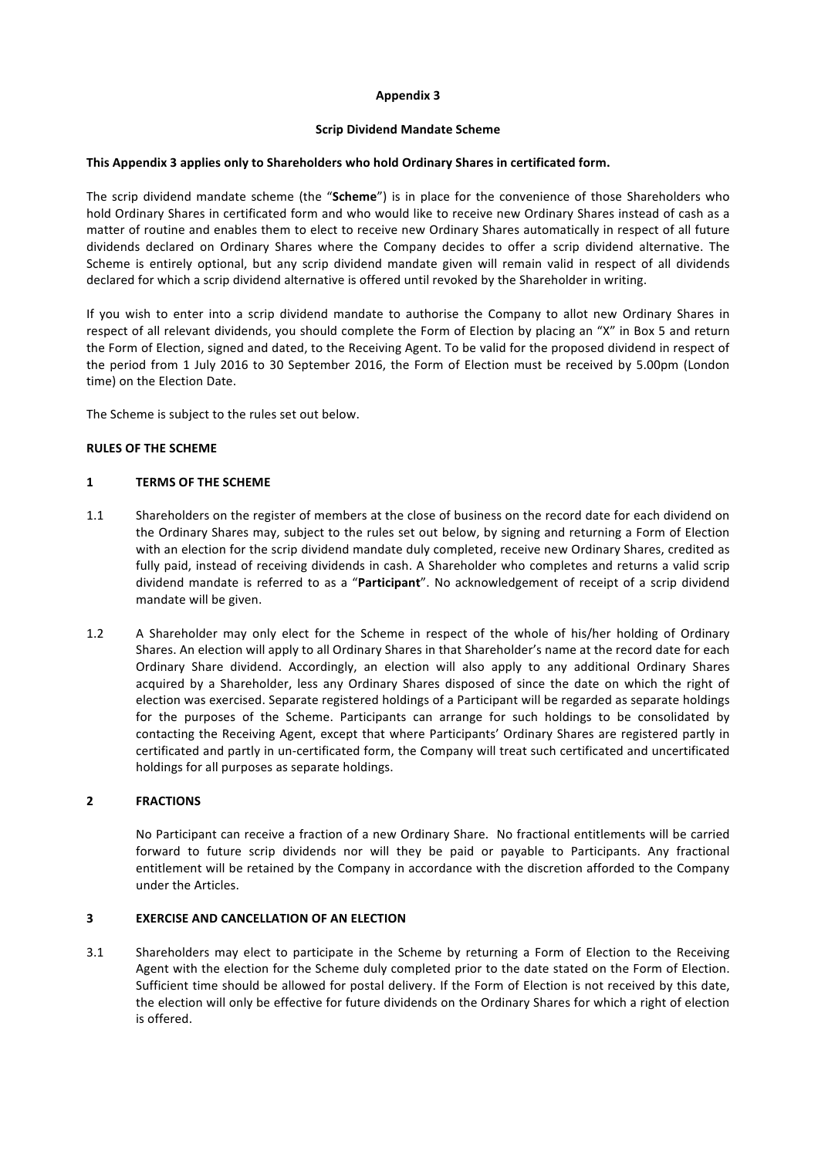# **Appendix 3**

# **Scrip Dividend Mandate Scheme**

# This Appendix 3 applies only to Shareholders who hold Ordinary Shares in certificated form.

The scrip dividend mandate scheme (the "Scheme") is in place for the convenience of those Shareholders who hold Ordinary Shares in certificated form and who would like to receive new Ordinary Shares instead of cash as a matter of routine and enables them to elect to receive new Ordinary Shares automatically in respect of all future dividends declared on Ordinary Shares where the Company decides to offer a scrip dividend alternative. The Scheme is entirely optional, but any scrip dividend mandate given will remain valid in respect of all dividends declared for which a scrip dividend alternative is offered until revoked by the Shareholder in writing.

If you wish to enter into a scrip dividend mandate to authorise the Company to allot new Ordinary Shares in respect of all relevant dividends, you should complete the Form of Election by placing an "X" in Box 5 and return the Form of Election, signed and dated, to the Receiving Agent. To be valid for the proposed dividend in respect of the period from 1 July 2016 to 30 September 2016, the Form of Election must be received by 5.00pm (London time) on the Election Date.

The Scheme is subject to the rules set out below.

#### **RULES OF THE SCHEME**

#### **1 TERMS OF THE SCHEME**

- 1.1 Shareholders on the register of members at the close of business on the record date for each dividend on the Ordinary Shares may, subject to the rules set out below, by signing and returning a Form of Election with an election for the scrip dividend mandate duly completed, receive new Ordinary Shares, credited as fully paid, instead of receiving dividends in cash. A Shareholder who completes and returns a valid scrip dividend mandate is referred to as a "Participant". No acknowledgement of receipt of a scrip dividend mandate will be given.
- 1.2 A Shareholder may only elect for the Scheme in respect of the whole of his/her holding of Ordinary Shares. An election will apply to all Ordinary Shares in that Shareholder's name at the record date for each Ordinary Share dividend. Accordingly, an election will also apply to any additional Ordinary Shares acquired by a Shareholder, less any Ordinary Shares disposed of since the date on which the right of election was exercised. Separate registered holdings of a Participant will be regarded as separate holdings for the purposes of the Scheme. Participants can arrange for such holdings to be consolidated by contacting the Receiving Agent, except that where Participants' Ordinary Shares are registered partly in certificated and partly in un-certificated form, the Company will treat such certificated and uncertificated holdings for all purposes as separate holdings.

# **2 FRACTIONS**

No Participant can receive a fraction of a new Ordinary Share. No fractional entitlements will be carried forward to future scrip dividends nor will they be paid or payable to Participants. Any fractional entitlement will be retained by the Company in accordance with the discretion afforded to the Company under the Articles.

# **3 EXERCISE AND CANCELLATION OF AN ELECTION**

3.1 Shareholders may elect to participate in the Scheme by returning a Form of Election to the Receiving Agent with the election for the Scheme duly completed prior to the date stated on the Form of Election. Sufficient time should be allowed for postal delivery. If the Form of Election is not received by this date, the election will only be effective for future dividends on the Ordinary Shares for which a right of election is offered.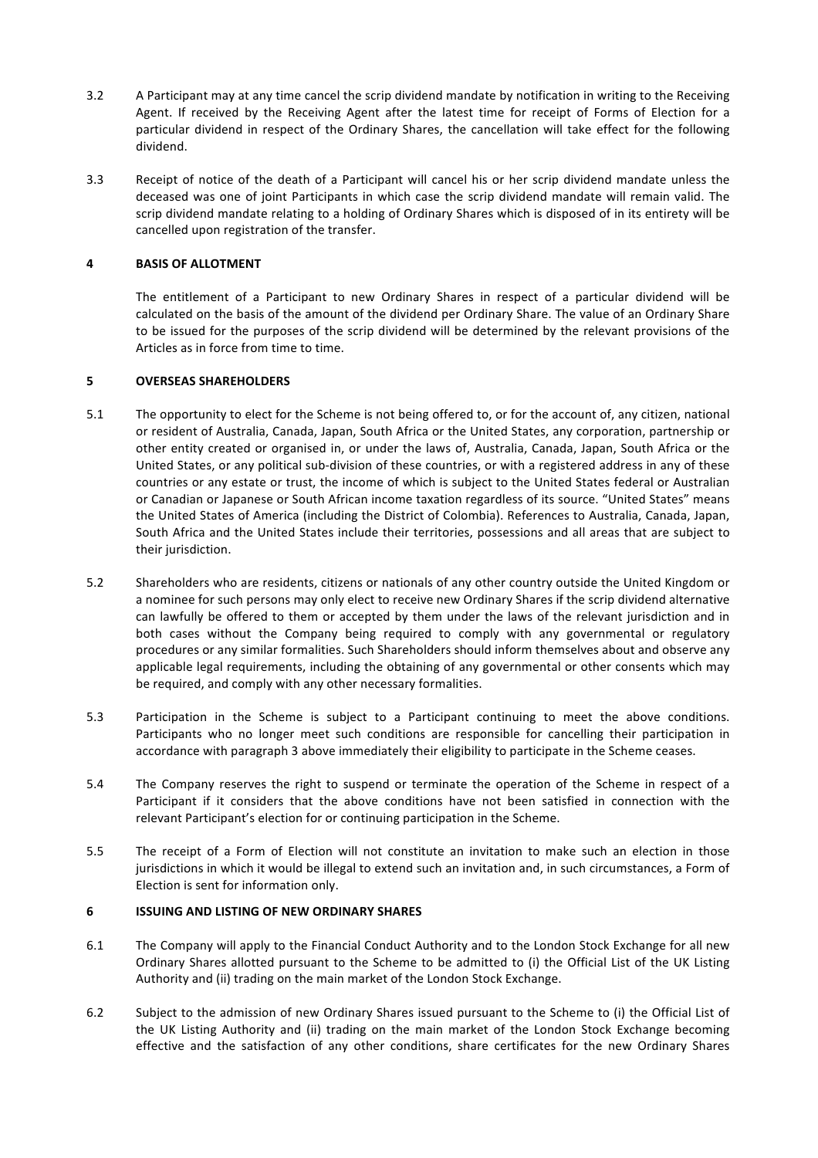- 3.2 A Participant may at any time cancel the scrip dividend mandate by notification in writing to the Receiving Agent. If received by the Receiving Agent after the latest time for receipt of Forms of Election for a particular dividend in respect of the Ordinary Shares, the cancellation will take effect for the following dividend.
- 3.3 Receipt of notice of the death of a Participant will cancel his or her scrip dividend mandate unless the deceased was one of joint Participants in which case the scrip dividend mandate will remain valid. The scrip dividend mandate relating to a holding of Ordinary Shares which is disposed of in its entirety will be cancelled upon registration of the transfer.

# **4 BASIS OF ALLOTMENT**

The entitlement of a Participant to new Ordinary Shares in respect of a particular dividend will be calculated on the basis of the amount of the dividend per Ordinary Share. The value of an Ordinary Share to be issued for the purposes of the scrip dividend will be determined by the relevant provisions of the Articles as in force from time to time.

# **5 OVERSEAS SHAREHOLDERS**

- 5.1 The opportunity to elect for the Scheme is not being offered to, or for the account of, any citizen, national or resident of Australia, Canada, Japan, South Africa or the United States, any corporation, partnership or other entity created or organised in, or under the laws of, Australia, Canada, Japan, South Africa or the United States, or any political sub-division of these countries, or with a registered address in any of these countries or any estate or trust, the income of which is subject to the United States federal or Australian or Canadian or Japanese or South African income taxation regardless of its source. "United States" means the United States of America (including the District of Colombia). References to Australia, Canada, Japan, South Africa and the United States include their territories, possessions and all areas that are subject to their jurisdiction.
- 5.2 Shareholders who are residents, citizens or nationals of any other country outside the United Kingdom or a nominee for such persons may only elect to receive new Ordinary Shares if the scrip dividend alternative can lawfully be offered to them or accepted by them under the laws of the relevant jurisdiction and in both cases without the Company being required to comply with any governmental or regulatory procedures or any similar formalities. Such Shareholders should inform themselves about and observe any applicable legal requirements, including the obtaining of any governmental or other consents which may be required, and comply with any other necessary formalities.
- 5.3 Participation in the Scheme is subject to a Participant continuing to meet the above conditions. Participants who no longer meet such conditions are responsible for cancelling their participation in accordance with paragraph 3 above immediately their eligibility to participate in the Scheme ceases.
- 5.4 The Company reserves the right to suspend or terminate the operation of the Scheme in respect of a Participant if it considers that the above conditions have not been satisfied in connection with the relevant Participant's election for or continuing participation in the Scheme.
- 5.5 The receipt of a Form of Election will not constitute an invitation to make such an election in those jurisdictions in which it would be illegal to extend such an invitation and, in such circumstances, a Form of Election is sent for information only.

# **6 ISSUING AND LISTING OF NEW ORDINARY SHARES**

- 6.1 The Company will apply to the Financial Conduct Authority and to the London Stock Exchange for all new Ordinary Shares allotted pursuant to the Scheme to be admitted to (i) the Official List of the UK Listing Authority and (ii) trading on the main market of the London Stock Exchange.
- 6.2 Subject to the admission of new Ordinary Shares issued pursuant to the Scheme to (i) the Official List of the UK Listing Authority and (ii) trading on the main market of the London Stock Exchange becoming effective and the satisfaction of any other conditions, share certificates for the new Ordinary Shares